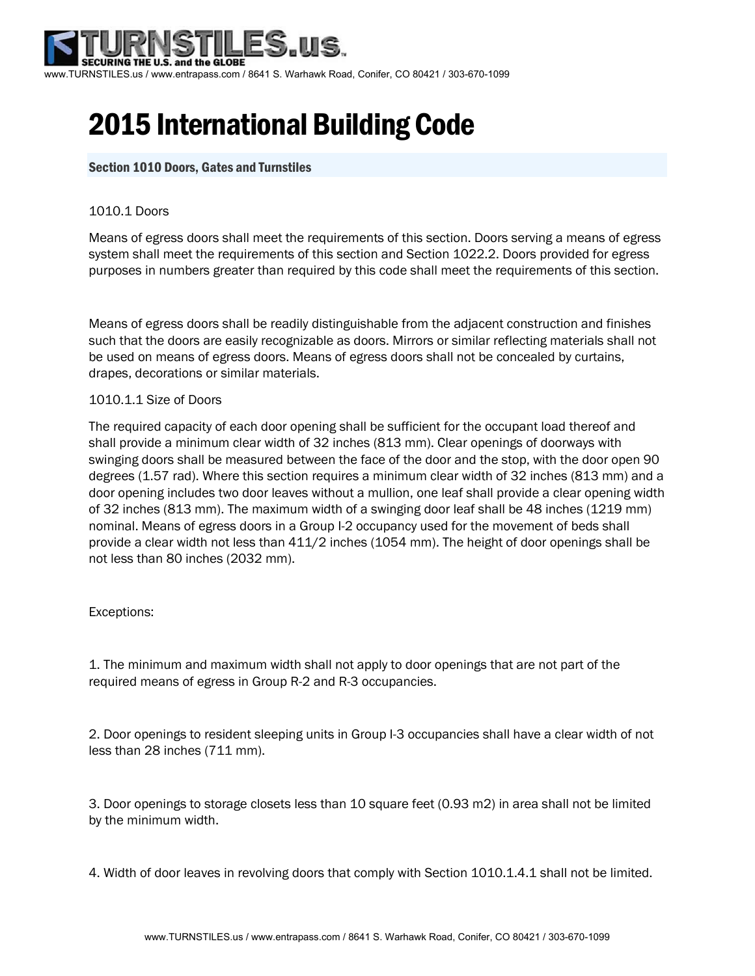

# 2015 International Building Code

# Section 1010 Doors, Gates and Turnstiles

## 1010.1 Doors

Means of egress doors shall meet the requirements of this section. Doors serving a means of egress system shall meet the requirements of this section and Section 1022.2. Doors provided for egress purposes in numbers greater than required by this code shall meet the requirements of this section.

Means of egress doors shall be readily distinguishable from the adjacent construction and finishes such that the doors are easily recognizable as doors. Mirrors or similar reflecting materials shall not be used on means of egress doors. Means of egress doors shall not be concealed by curtains, drapes, decorations or similar materials.

## 1010.1.1 Size of Doors

The required capacity of each door opening shall be sufficient for the occupant load thereof and shall provide a minimum clear width of 32 inches (813 mm). Clear openings of doorways with swinging doors shall be measured between the face of the door and the stop, with the door open 90 degrees (1.57 rad). Where this section requires a minimum clear width of 32 inches (813 mm) and a door opening includes two door leaves without a mullion, one leaf shall provide a clear opening width of 32 inches (813 mm). The maximum width of a swinging door leaf shall be 48 inches (1219 mm) nominal. Means of egress doors in a Group I-2 occupancy used for the movement of beds shall provide a clear width not less than 411/2 inches (1054 mm). The height of door openings shall be not less than 80 inches (2032 mm).

## Exceptions:

1. The minimum and maximum width shall not apply to door openings that are not part of the required means of egress in Group R-2 and R-3 occupancies.

2. Door openings to resident sleeping units in Group I-3 occupancies shall have a clear width of not less than 28 inches (711 mm).

3. Door openings to storage closets less than 10 square feet (0.93 m2) in area shall not be limited by the minimum width.

4. Width of door leaves in revolving doors that comply with Section 1010.1.4.1 shall not be limited.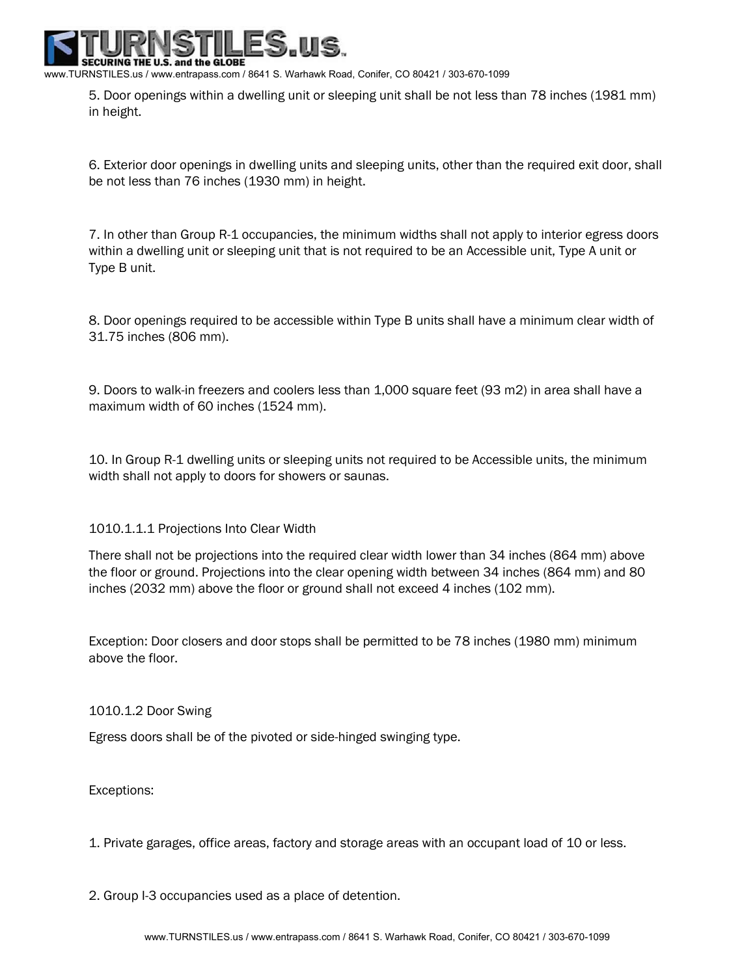www.TURNSTILES.us / www.entrapass.com / 8641 S. Warhawk Road, Conifer, CO 80421 / 303-670-1099

5. Door openings within a dwelling unit or sleeping unit shall be not less than 78 inches (1981 mm) in height.

6. Exterior door openings in dwelling units and sleeping units, other than the required exit door, shall be not less than 76 inches (1930 mm) in height.

7. In other than Group R-1 occupancies, the minimum widths shall not apply to interior egress doors within a dwelling unit or sleeping unit that is not required to be an Accessible unit, Type A unit or Type B unit.

8. Door openings required to be accessible within Type B units shall have a minimum clear width of 31.75 inches (806 mm).

9. Doors to walk-in freezers and coolers less than 1,000 square feet (93 m2) in area shall have a maximum width of 60 inches (1524 mm).

10. In Group R-1 dwelling units or sleeping units not required to be Accessible units, the minimum width shall not apply to doors for showers or saunas.

1010.1.1.1 Projections Into Clear Width

There shall not be projections into the required clear width lower than 34 inches (864 mm) above the floor or ground. Projections into the clear opening width between 34 inches (864 mm) and 80 inches (2032 mm) above the floor or ground shall not exceed 4 inches (102 mm).

Exception: Door closers and door stops shall be permitted to be 78 inches (1980 mm) minimum above the floor.

1010.1.2 Door Swing

Egress doors shall be of the pivoted or side-hinged swinging type.

Exceptions:

1. Private garages, office areas, factory and storage areas with an occupant load of 10 or less.

2. Group I-3 occupancies used as a place of detention.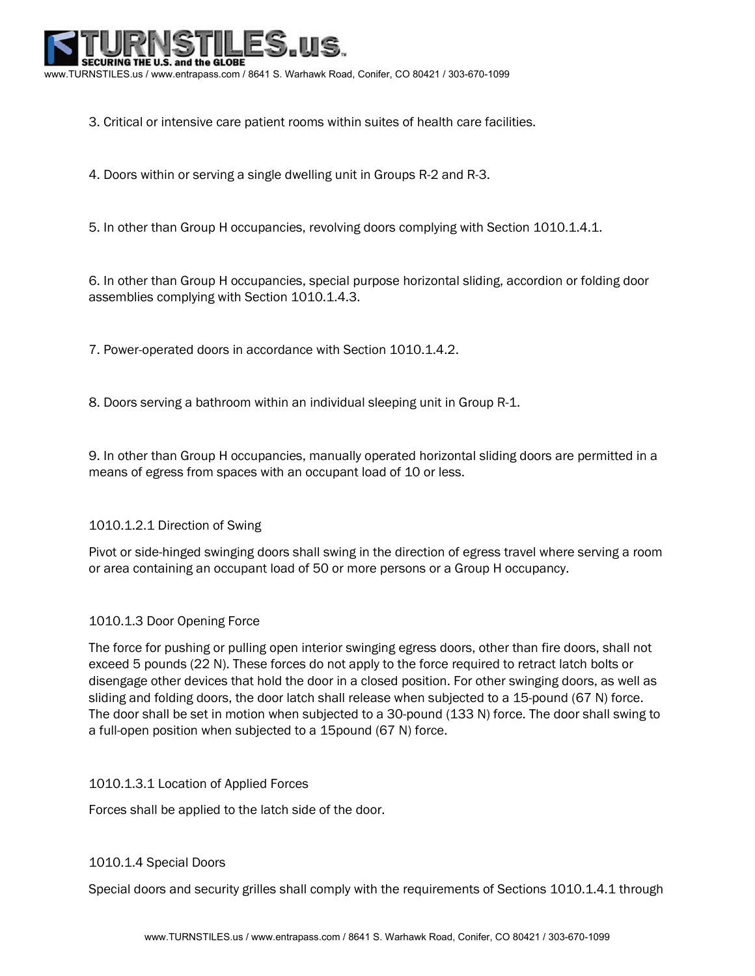

3. Critical or intensive care patient rooms within suites of health care facilities.

4. Doors within or serving a single dwelling unit in Groups R-2 and R-3.

5. In other than Group H occupancies, revolving doors complying with Section 1010.1.4.1.

6. In other than Group H occupancies, special purpose horizontal sliding, accordion or folding door assemblies complying with Section 1010.1.4.3.

7. Power-operated doors in accordance with Section 1010.1.4.2.

8. Doors serving a bathroom within an individual sleeping unit in Group R-1.

9. In other than Group H occupancies, manually operated horizontal sliding doors are permitted in a means of egress from spaces with an occupant load of 10 or less.

## 1010.1.2.1 Direction of Swing

Pivot or side-hinged swinging doors shall swing in the direction of egress travel where serving a room or area containing an occupant load of 50 or more persons or a Group H occupancy.

## 1010.1.3 Door Opening Force

The force for pushing or pulling open interior swinging egress doors, other than fire doors, shall not exceed 5 pounds (22 N). These forces do not apply to the force required to retract latch bolts or disengage other devices that hold the door in a closed position. For other swinging doors, as well as sliding and folding doors, the door latch shall release when subjected to a 15-pound (67 N) force. The door shall be set in motion when subjected to a 30-pound (133 N) force. The door shall swing to a full-open position when subjected to a 15pound (67 N) force.

## 1010.1.3.1 Location of Applied Forces

Forces shall be applied to the latch side of the door.

## 1010.1.4 Special Doors

Special doors and security grilles shall comply with the requirements of Sections 1010.1.4.1 through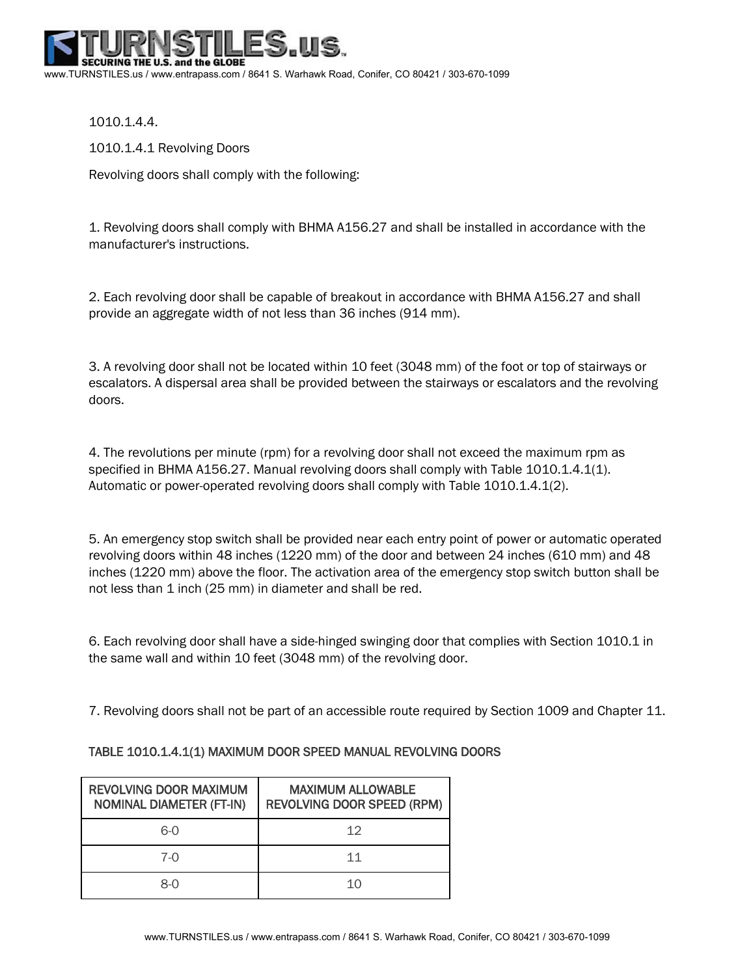URING THE U.S. and the GLOBE www.TURNSTILES.us / www.entrapass.com / 8641 S. Warhawk Road, Conifer, CO 80421 / 303-670-1099

1010.1.4.4.

1010.1.4.1 Revolving Doors

Revolving doors shall comply with the following:

1. Revolving doors shall comply with BHMA A156.27 and shall be installed in accordance with the manufacturer's instructions.

2. Each revolving door shall be capable of breakout in accordance with BHMA A156.27 and shall provide an aggregate width of not less than 36 inches (914 mm).

3. A revolving door shall not be located within 10 feet (3048 mm) of the foot or top of stairways or escalators. A dispersal area shall be provided between the stairways or escalators and the revolving doors.

4. The revolutions per minute (rpm) for a revolving door shall not exceed the maximum rpm as specified in BHMA A156.27. Manual revolving doors shall comply with Table 1010.1.4.1(1). Automatic or power-operated revolving doors shall comply with Table 1010.1.4.1(2).

5. An emergency stop switch shall be provided near each entry point of power or automatic operated revolving doors within 48 inches (1220 mm) of the door and between 24 inches (610 mm) and 48 inches (1220 mm) above the floor. The activation area of the emergency stop switch button shall be not less than 1 inch (25 mm) in diameter and shall be red.

6. Each revolving door shall have a side-hinged swinging door that complies with Section 1010.1 in the same wall and within 10 feet (3048 mm) of the revolving door.

7. Revolving doors shall not be part of an accessible route required by Section 1009 and Chapter 11.

| <b>REVOLVING DOOR MAXIMUM</b><br><b>NOMINAL DIAMETER (FT-IN)</b> | <b>MAXIMUM ALLOWABLE</b><br><b>REVOLVING DOOR SPEED (RPM)</b> |
|------------------------------------------------------------------|---------------------------------------------------------------|
| 6-0                                                              | 12                                                            |
| $7-0$                                                            | 11                                                            |
| 8-0                                                              | 10                                                            |

# TABLE 1010.1.4.1(1) MAXIMUM DOOR SPEED MANUAL REVOLVING DOORS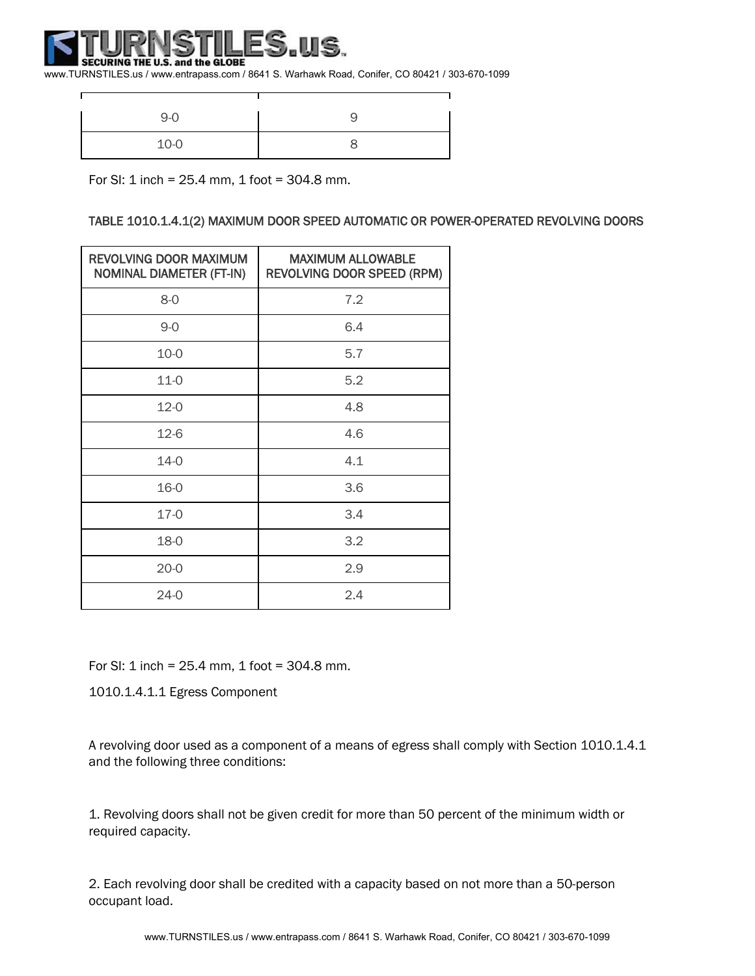#### ISTIL ES.us. SECURING THE U.S. and the GLOBE

 $\Gamma$ 

www.TURNSTILES.us / www.entrapass.com / 8641 S. Warhawk Road, Conifer, CO 80421 / 303-670-1099

| $9-0$  |  |
|--------|--|
| $10-0$ |  |

 $\overline{\phantom{a}}$ 

For SI: 1 inch =  $25.4$  mm, 1 foot =  $304.8$  mm.

## TABLE 1010.1.4.1(2) MAXIMUM DOOR SPEED AUTOMATIC OR POWER-OPERATED REVOLVING DOORS

| <b>REVOLVING DOOR MAXIMUM</b><br><b>NOMINAL DIAMETER (FT-IN)</b> | <b>MAXIMUM ALLOWABLE</b><br><b>REVOLVING DOOR SPEED (RPM)</b> |
|------------------------------------------------------------------|---------------------------------------------------------------|
| $8-0$                                                            | 7.2                                                           |
| $9 - 0$                                                          | 6.4                                                           |
| $10 - 0$                                                         | 5.7                                                           |
| $11-0$                                                           | 5.2                                                           |
| $12 - 0$                                                         | 4.8                                                           |
| $12-6$                                                           | 4.6                                                           |
| $14-0$                                                           | 4.1                                                           |
| 16-0                                                             | 3.6                                                           |
| $17-0$                                                           | 3.4                                                           |
| 18-0                                                             | 3.2                                                           |
| $20 - 0$                                                         | 2.9                                                           |
| $24-0$                                                           | 2.4                                                           |

For SI:  $1$  inch = 25.4 mm,  $1$  foot = 304.8 mm.

1010.1.4.1.1 Egress Component

A revolving door used as a component of a means of egress shall comply with Section 1010.1.4.1 and the following three conditions:

1. Revolving doors shall not be given credit for more than 50 percent of the minimum width or required capacity.

2. Each revolving door shall be credited with a capacity based on not more than a 50-person occupant load.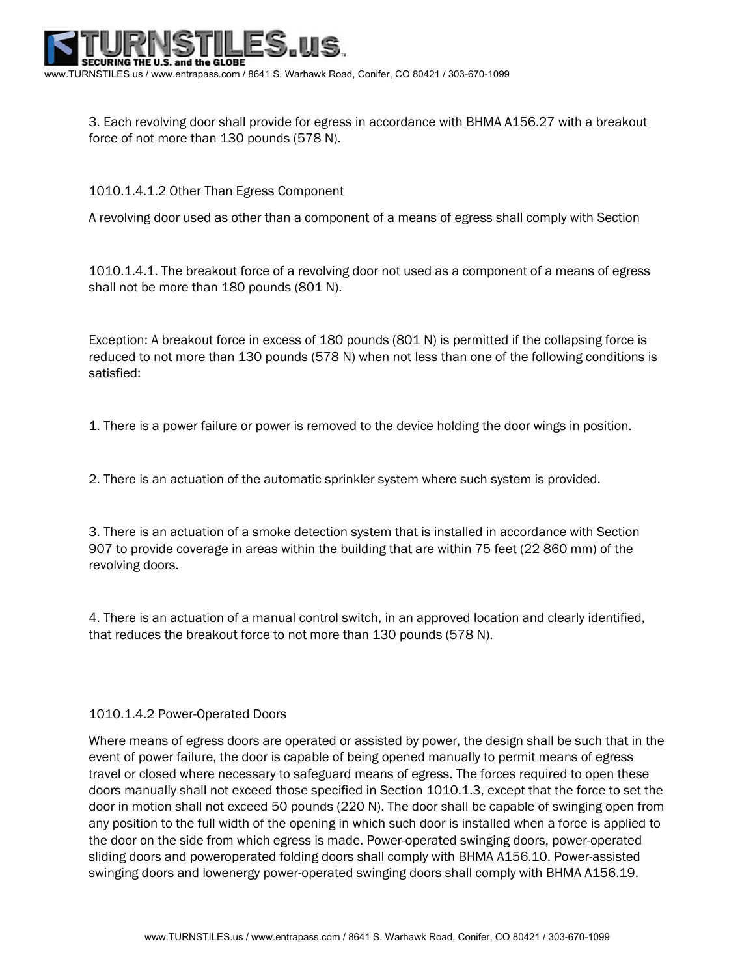

3. Each revolving door shall provide for egress in accordance with BHMA A156.27 with a breakout force of not more than 130 pounds (578 N).

## 1010.1.4.1.2 Other Than Egress Component

A revolving door used as other than a component of a means of egress shall comply with Section

1010.1.4.1. The breakout force of a revolving door not used as a component of a means of egress shall not be more than 180 pounds (801 N).

Exception: A breakout force in excess of 180 pounds (801 N) is permitted if the collapsing force is reduced to not more than 130 pounds (578 N) when not less than one of the following conditions is satisfied:

1. There is a power failure or power is removed to the device holding the door wings in position.

2. There is an actuation of the automatic sprinkler system where such system is provided.

3. There is an actuation of a smoke detection system that is installed in accordance with Section 907 to provide coverage in areas within the building that are within 75 feet (22 860 mm) of the revolving doors.

4. There is an actuation of a manual control switch, in an approved location and clearly identified, that reduces the breakout force to not more than 130 pounds (578 N).

## 1010.1.4.2 Power-Operated Doors

Where means of egress doors are operated or assisted by power, the design shall be such that in the event of power failure, the door is capable of being opened manually to permit means of egress travel or closed where necessary to safeguard means of egress. The forces required to open these doors manually shall not exceed those specified in Section 1010.1.3, except that the force to set the door in motion shall not exceed 50 pounds (220 N). The door shall be capable of swinging open from any position to the full width of the opening in which such door is installed when a force is applied to the door on the side from which egress is made. Power-operated swinging doors, power-operated sliding doors and poweroperated folding doors shall comply with BHMA A156.10. Power-assisted swinging doors and lowenergy power-operated swinging doors shall comply with BHMA A156.19.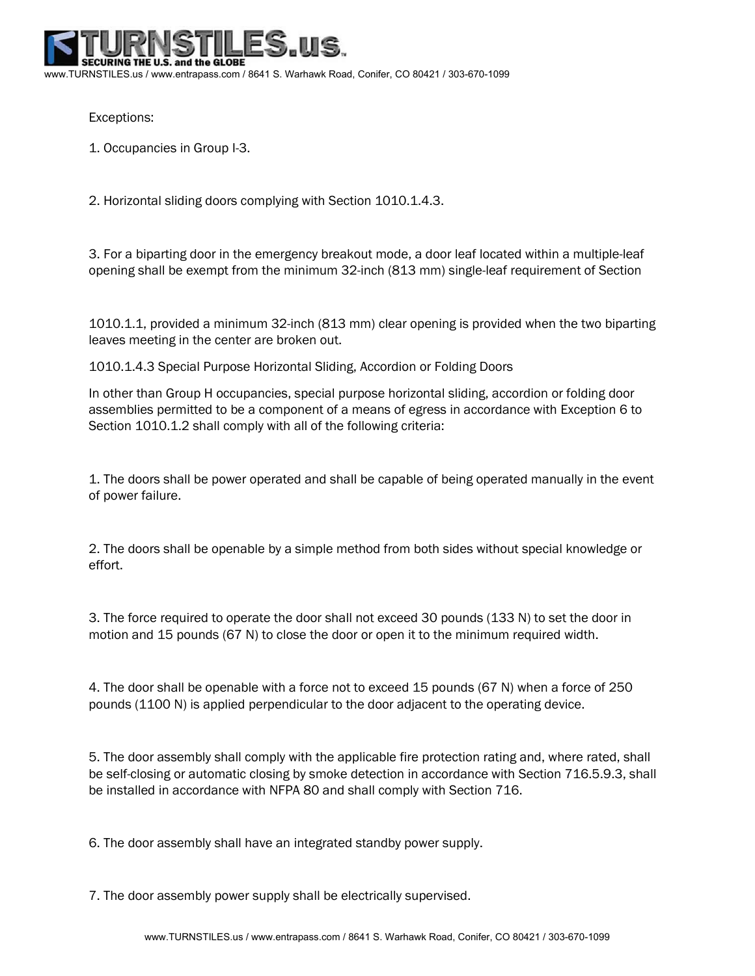URING THE U.S. and the GLOBE www.TURNSTILES.us / www.entrapass.com / 8641 S. Warhawk Road, Conifer, CO 80421 / 303-670-1099

Exceptions:

1. Occupancies in Group I-3.

2. Horizontal sliding doors complying with Section 1010.1.4.3.

3. For a biparting door in the emergency breakout mode, a door leaf located within a multiple-leaf opening shall be exempt from the minimum 32-inch (813 mm) single-leaf requirement of Section

1010.1.1, provided a minimum 32-inch (813 mm) clear opening is provided when the two biparting leaves meeting in the center are broken out.

1010.1.4.3 Special Purpose Horizontal Sliding, Accordion or Folding Doors

In other than Group H occupancies, special purpose horizontal sliding, accordion or folding door assemblies permitted to be a component of a means of egress in accordance with Exception 6 to Section 1010.1.2 shall comply with all of the following criteria:

1. The doors shall be power operated and shall be capable of being operated manually in the event of power failure.

2. The doors shall be openable by a simple method from both sides without special knowledge or effort.

3. The force required to operate the door shall not exceed 30 pounds (133 N) to set the door in motion and 15 pounds (67 N) to close the door or open it to the minimum required width.

4. The door shall be openable with a force not to exceed 15 pounds (67 N) when a force of 250 pounds (1100 N) is applied perpendicular to the door adjacent to the operating device.

5. The door assembly shall comply with the applicable fire protection rating and, where rated, shall be self-closing or automatic closing by smoke detection in accordance with Section 716.5.9.3, shall be installed in accordance with NFPA 80 and shall comply with Section 716.

6. The door assembly shall have an integrated standby power supply.

7. The door assembly power supply shall be electrically supervised.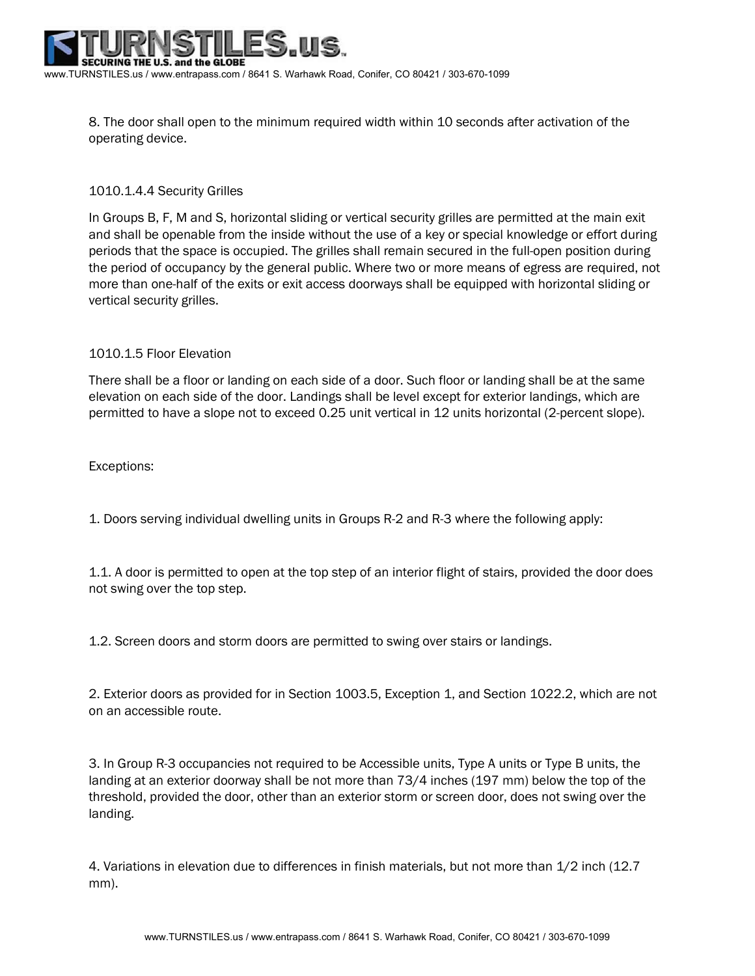

8. The door shall open to the minimum required width within 10 seconds after activation of the operating device.

## 1010.1.4.4 Security Grilles

In Groups B, F, M and S, horizontal sliding or vertical security grilles are permitted at the main exit and shall be openable from the inside without the use of a key or special knowledge or effort during periods that the space is occupied. The grilles shall remain secured in the full-open position during the period of occupancy by the general public. Where two or more means of egress are required, not more than one-half of the exits or exit access doorways shall be equipped with horizontal sliding or vertical security grilles.

## 1010.1.5 Floor Elevation

There shall be a floor or landing on each side of a door. Such floor or landing shall be at the same elevation on each side of the door. Landings shall be level except for exterior landings, which are permitted to have a slope not to exceed 0.25 unit vertical in 12 units horizontal (2-percent slope).

Exceptions:

1. Doors serving individual dwelling units in Groups R-2 and R-3 where the following apply:

1.1. A door is permitted to open at the top step of an interior flight of stairs, provided the door does not swing over the top step.

1.2. Screen doors and storm doors are permitted to swing over stairs or landings.

2. Exterior doors as provided for in Section 1003.5, Exception 1, and Section 1022.2, which are not on an accessible route.

3. In Group R-3 occupancies not required to be Accessible units, Type A units or Type B units, the landing at an exterior doorway shall be not more than 73/4 inches (197 mm) below the top of the threshold, provided the door, other than an exterior storm or screen door, does not swing over the landing.

4. Variations in elevation due to differences in finish materials, but not more than 1/2 inch (12.7 mm).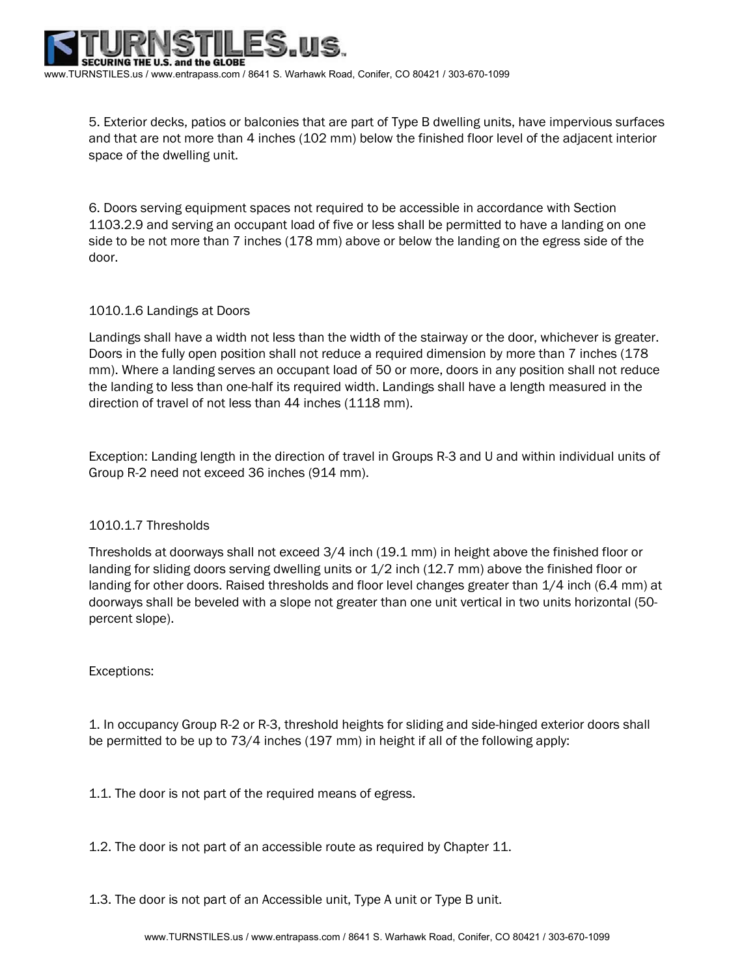

5. Exterior decks, patios or balconies that are part of Type B dwelling units, have impervious surfaces and that are not more than 4 inches (102 mm) below the finished floor level of the adjacent interior space of the dwelling unit.

6. Doors serving equipment spaces not required to be accessible in accordance with Section 1103.2.9 and serving an occupant load of five or less shall be permitted to have a landing on one side to be not more than 7 inches (178 mm) above or below the landing on the egress side of the door.

## 1010.1.6 Landings at Doors

Landings shall have a width not less than the width of the stairway or the door, whichever is greater. Doors in the fully open position shall not reduce a required dimension by more than 7 inches (178 mm). Where a landing serves an occupant load of 50 or more, doors in any position shall not reduce the landing to less than one-half its required width. Landings shall have a length measured in the direction of travel of not less than 44 inches (1118 mm).

Exception: Landing length in the direction of travel in Groups R-3 and U and within individual units of Group R-2 need not exceed 36 inches (914 mm).

## 1010.1.7 Thresholds

Thresholds at doorways shall not exceed 3/4 inch (19.1 mm) in height above the finished floor or landing for sliding doors serving dwelling units or 1/2 inch (12.7 mm) above the finished floor or landing for other doors. Raised thresholds and floor level changes greater than 1/4 inch (6.4 mm) at doorways shall be beveled with a slope not greater than one unit vertical in two units horizontal (50 percent slope).

## Exceptions:

1. In occupancy Group R-2 or R-3, threshold heights for sliding and side-hinged exterior doors shall be permitted to be up to 73/4 inches (197 mm) in height if all of the following apply:

1.1. The door is not part of the required means of egress.

1.2. The door is not part of an accessible route as required by Chapter 11.

1.3. The door is not part of an Accessible unit, Type A unit or Type B unit.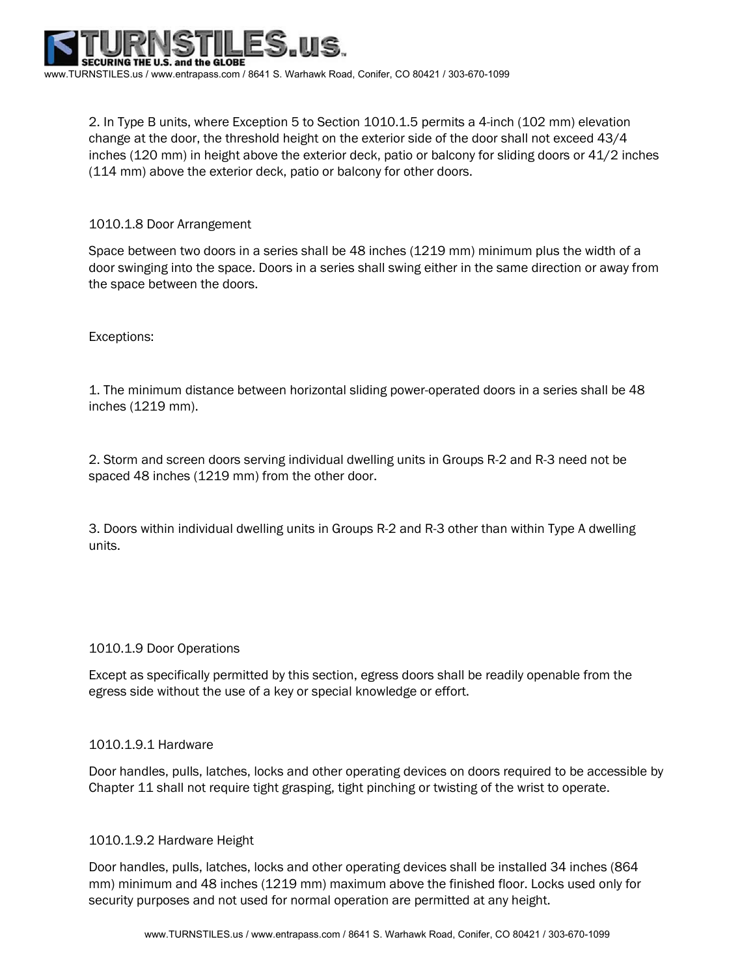2. In Type B units, where Exception 5 to Section 1010.1.5 permits a 4-inch (102 mm) elevation change at the door, the threshold height on the exterior side of the door shall not exceed 43/4 inches (120 mm) in height above the exterior deck, patio or balcony for sliding doors or 41/2 inches (114 mm) above the exterior deck, patio or balcony for other doors.

# 1010.1.8 Door Arrangement

Space between two doors in a series shall be 48 inches (1219 mm) minimum plus the width of a door swinging into the space. Doors in a series shall swing either in the same direction or away from the space between the doors.

## Exceptions:

1. The minimum distance between horizontal sliding power-operated doors in a series shall be 48 inches (1219 mm).

2. Storm and screen doors serving individual dwelling units in Groups R-2 and R-3 need not be spaced 48 inches (1219 mm) from the other door.

3. Doors within individual dwelling units in Groups R-2 and R-3 other than within Type A dwelling units.

## 1010.1.9 Door Operations

Except as specifically permitted by this section, egress doors shall be readily openable from the egress side without the use of a key or special knowledge or effort.

## 1010.1.9.1 Hardware

Door handles, pulls, latches, locks and other operating devices on doors required to be accessible by Chapter 11 shall not require tight grasping, tight pinching or twisting of the wrist to operate.

## 1010.1.9.2 Hardware Height

Door handles, pulls, latches, locks and other operating devices shall be installed 34 inches (864 mm) minimum and 48 inches (1219 mm) maximum above the finished floor. Locks used only for security purposes and not used for normal operation are permitted at any height.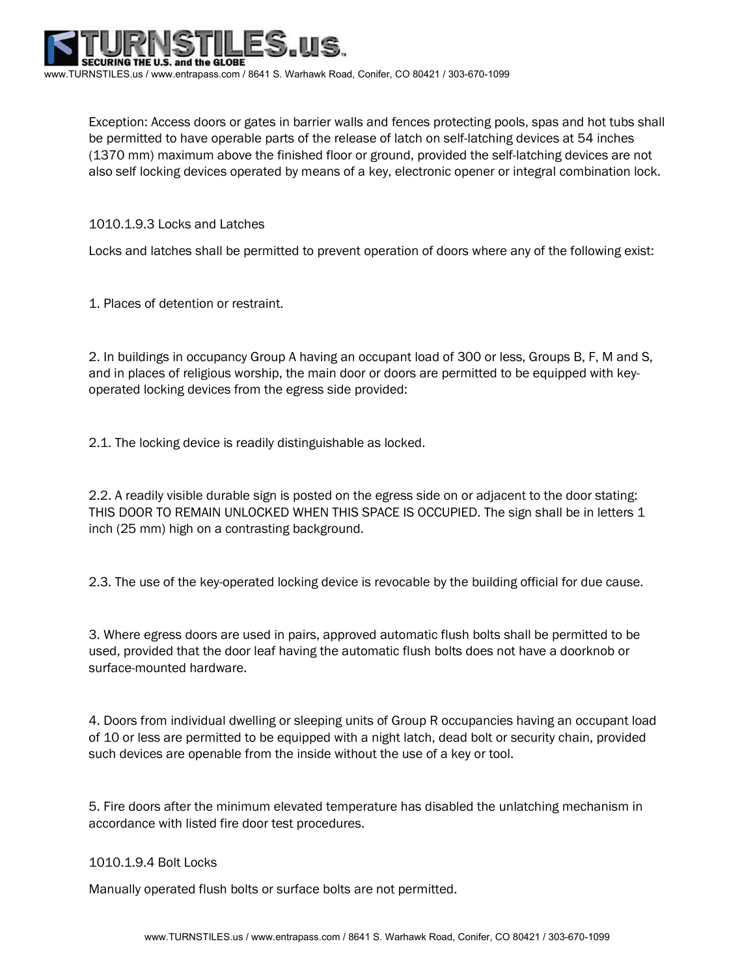Exception: Access doors or gates in barrier walls and fences protecting pools, spas and hot tubs shall be permitted to have operable parts of the release of latch on self-latching devices at 54 inches (1370 mm) maximum above the finished floor or ground, provided the self-latching devices are not also self locking devices operated by means of a key, electronic opener or integral combination lock.

1010.1.9.3 Locks and Latches

Locks and latches shall be permitted to prevent operation of doors where any of the following exist:

1. Places of detention or restraint.

2. In buildings in occupancy Group A having an occupant load of 300 or less, Groups B, F, M and S, and in places of religious worship, the main door or doors are permitted to be equipped with keyoperated locking devices from the egress side provided:

2.1. The locking device is readily distinguishable as locked.

2.2. A readily visible durable sign is posted on the egress side on or adjacent to the door stating: THIS DOOR TO REMAIN UNLOCKED WHEN THIS SPACE IS OCCUPIED. The sign shall be in letters 1 inch (25 mm) high on a contrasting background.

2.3. The use of the key-operated locking device is revocable by the building official for due cause.

3. Where egress doors are used in pairs, approved automatic flush bolts shall be permitted to be used, provided that the door leaf having the automatic flush bolts does not have a doorknob or surface-mounted hardware.

4. Doors from individual dwelling or sleeping units of Group R occupancies having an occupant load of 10 or less are permitted to be equipped with a night latch, dead bolt or security chain, provided such devices are openable from the inside without the use of a key or tool.

5. Fire doors after the minimum elevated temperature has disabled the unlatching mechanism in accordance with listed fire door test procedures.

1010.1.9.4 Bolt Locks

Manually operated flush bolts or surface bolts are not permitted.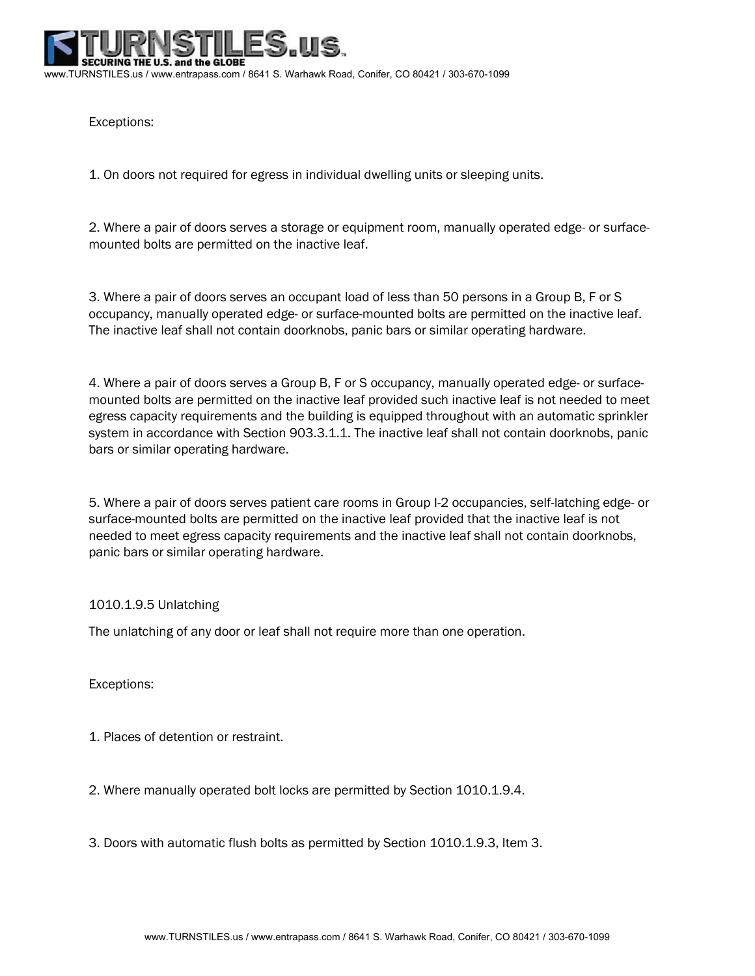S. and the GLOBE www.TURNSTILES.us / www.entrapass.com / 8641 S. Warhawk Road, Conifer, CO 80421 / 303-670-1099

Exceptions:

1. On doors not required for egress in individual dwelling units or sleeping units.

2. Where a pair of doors serves a storage or equipment room, manually operated edge- or surfacemounted bolts are permitted on the inactive leaf.

3. Where a pair of doors serves an occupant load of less than 50 persons in a Group B, F or S occupancy, manually operated edge- or surface-mounted bolts are permitted on the inactive leaf. The inactive leaf shall not contain doorknobs, panic bars or similar operating hardware.

4. Where a pair of doors serves a Group B, F or S occupancy, manually operated edge- or surfacemounted bolts are permitted on the inactive leaf provided such inactive leaf is not needed to meet egress capacity requirements and the building is equipped throughout with an automatic sprinkler system in accordance with Section 903.3.1.1. The inactive leaf shall not contain doorknobs, panic bars or similar operating hardware.

5. Where a pair of doors serves patient care rooms in Group I-2 occupancies, self-latching edge- or surface-mounted bolts are permitted on the inactive leaf provided that the inactive leaf is not needed to meet egress capacity requirements and the inactive leaf shall not contain doorknobs, panic bars or similar operating hardware.

## 1010.1.9.5 Unlatching

The unlatching of any door or leaf shall not require more than one operation.

Exceptions:

- 1. Places of detention or restraint.
- 2. Where manually operated bolt locks are permitted by Section 1010.1.9.4.
- 3. Doors with automatic flush bolts as permitted by Section 1010.1.9.3, Item 3.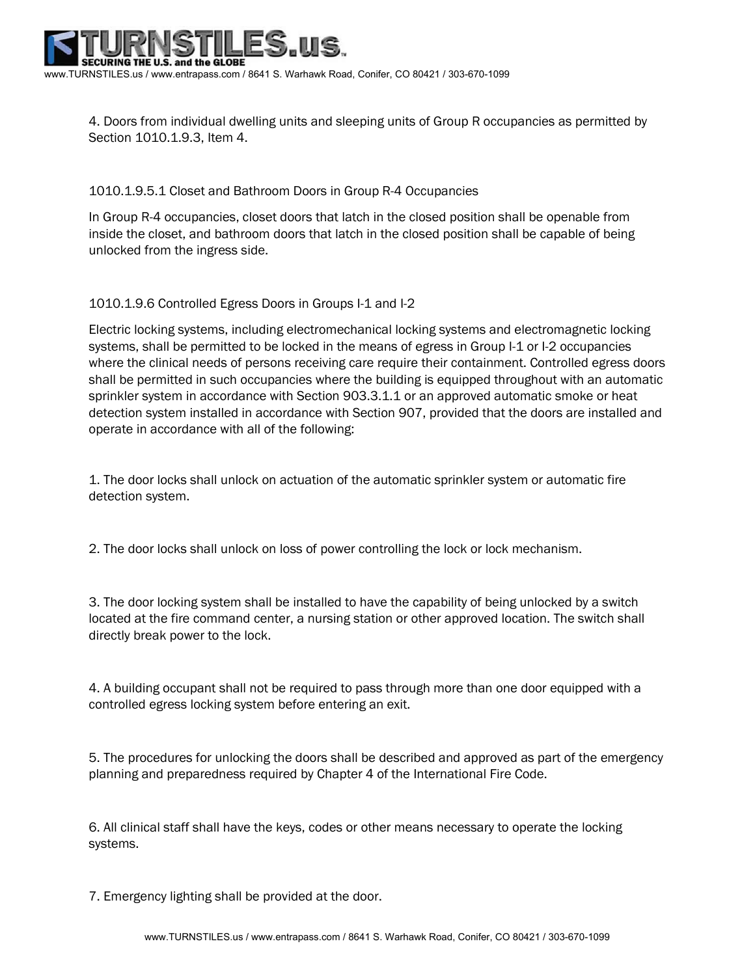

4. Doors from individual dwelling units and sleeping units of Group R occupancies as permitted by Section 1010.1.9.3, Item 4.

1010.1.9.5.1 Closet and Bathroom Doors in Group R-4 Occupancies

In Group R-4 occupancies, closet doors that latch in the closed position shall be openable from inside the closet, and bathroom doors that latch in the closed position shall be capable of being unlocked from the ingress side.

1010.1.9.6 Controlled Egress Doors in Groups I-1 and I-2

Electric locking systems, including electromechanical locking systems and electromagnetic locking systems, shall be permitted to be locked in the means of egress in Group I-1 or I-2 occupancies where the clinical needs of persons receiving care require their containment. Controlled egress doors shall be permitted in such occupancies where the building is equipped throughout with an automatic sprinkler system in accordance with Section 903.3.1.1 or an approved automatic smoke or heat detection system installed in accordance with Section 907, provided that the doors are installed and operate in accordance with all of the following:

1. The door locks shall unlock on actuation of the automatic sprinkler system or automatic fire detection system.

2. The door locks shall unlock on loss of power controlling the lock or lock mechanism.

3. The door locking system shall be installed to have the capability of being unlocked by a switch located at the fire command center, a nursing station or other approved location. The switch shall directly break power to the lock.

4. A building occupant shall not be required to pass through more than one door equipped with a controlled egress locking system before entering an exit.

5. The procedures for unlocking the doors shall be described and approved as part of the emergency planning and preparedness required by Chapter 4 of the International Fire Code.

6. All clinical staff shall have the keys, codes or other means necessary to operate the locking systems.

7. Emergency lighting shall be provided at the door.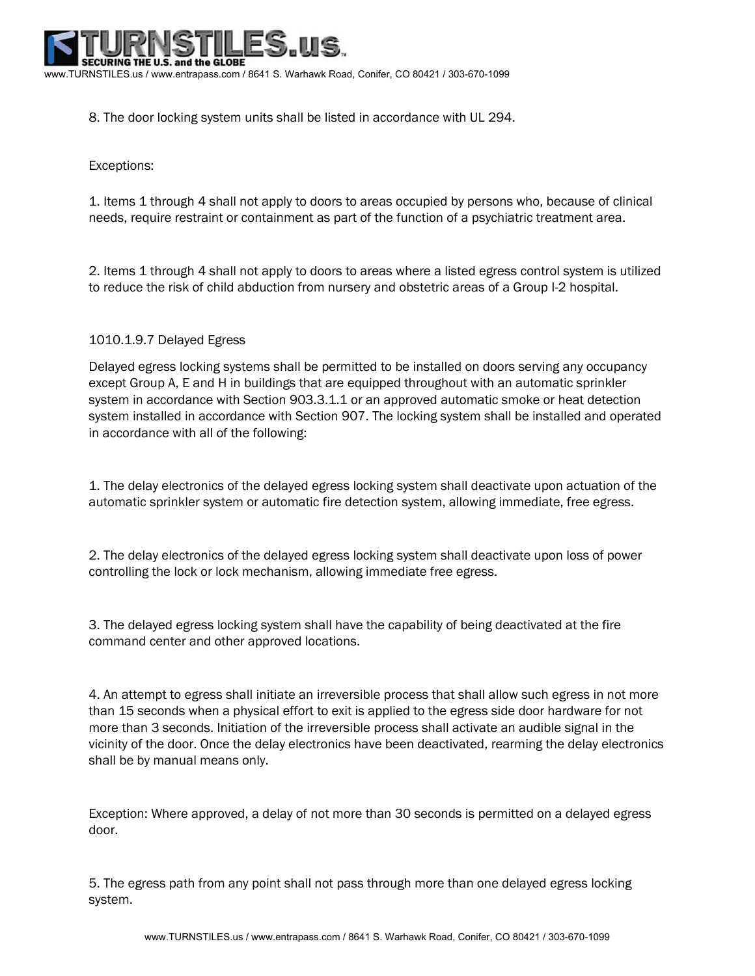

8. The door locking system units shall be listed in accordance with UL 294.

# Exceptions:

1. Items 1 through 4 shall not apply to doors to areas occupied by persons who, because of clinical needs, require restraint or containment as part of the function of a psychiatric treatment area.

2. Items 1 through 4 shall not apply to doors to areas where a listed egress control system is utilized to reduce the risk of child abduction from nursery and obstetric areas of a Group I-2 hospital.

## 1010.1.9.7 Delayed Egress

Delayed egress locking systems shall be permitted to be installed on doors serving any occupancy except Group A, E and H in buildings that are equipped throughout with an automatic sprinkler system in accordance with Section 903.3.1.1 or an approved automatic smoke or heat detection system installed in accordance with Section 907. The locking system shall be installed and operated in accordance with all of the following:

1. The delay electronics of the delayed egress locking system shall deactivate upon actuation of the automatic sprinkler system or automatic fire detection system, allowing immediate, free egress.

2. The delay electronics of the delayed egress locking system shall deactivate upon loss of power controlling the lock or lock mechanism, allowing immediate free egress.

3. The delayed egress locking system shall have the capability of being deactivated at the fire command center and other approved locations.

4. An attempt to egress shall initiate an irreversible process that shall allow such egress in not more than 15 seconds when a physical effort to exit is applied to the egress side door hardware for not more than 3 seconds. Initiation of the irreversible process shall activate an audible signal in the vicinity of the door. Once the delay electronics have been deactivated, rearming the delay electronics shall be by manual means only.

Exception: Where approved, a delay of not more than 30 seconds is permitted on a delayed egress door.

5. The egress path from any point shall not pass through more than one delayed egress locking system.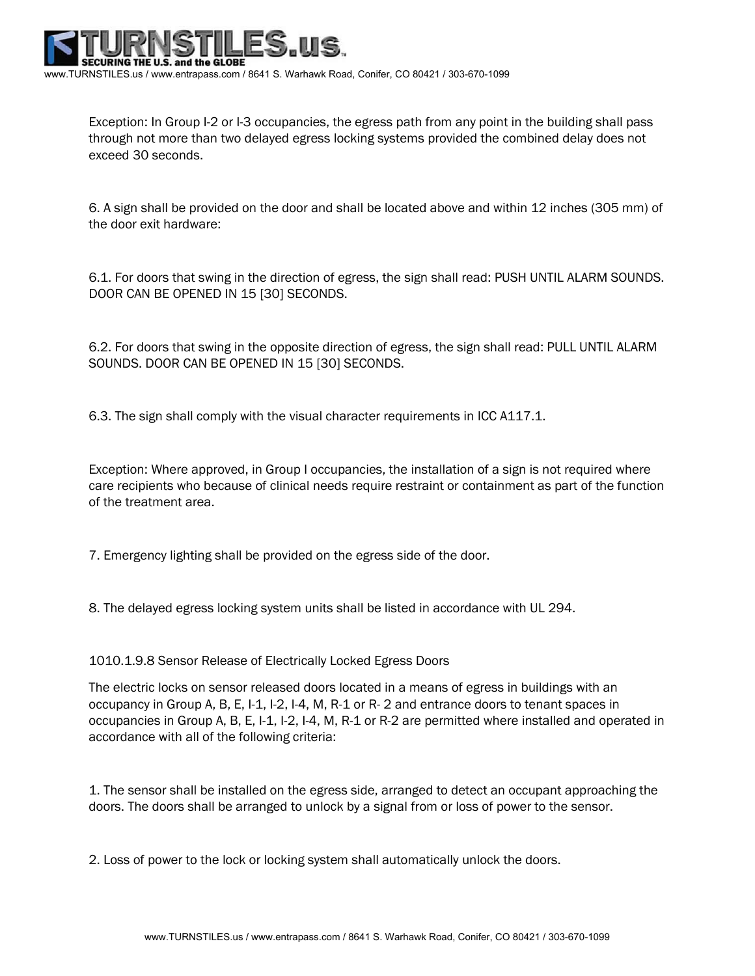

Exception: In Group I-2 or I-3 occupancies, the egress path from any point in the building shall pass through not more than two delayed egress locking systems provided the combined delay does not exceed 30 seconds.

6. A sign shall be provided on the door and shall be located above and within 12 inches (305 mm) of the door exit hardware:

6.1. For doors that swing in the direction of egress, the sign shall read: PUSH UNTIL ALARM SOUNDS. DOOR CAN BE OPENED IN 15 [30] SECONDS.

6.2. For doors that swing in the opposite direction of egress, the sign shall read: PULL UNTIL ALARM SOUNDS. DOOR CAN BE OPENED IN 15 [30] SECONDS.

6.3. The sign shall comply with the visual character requirements in ICC A117.1.

Exception: Where approved, in Group I occupancies, the installation of a sign is not required where care recipients who because of clinical needs require restraint or containment as part of the function of the treatment area.

7. Emergency lighting shall be provided on the egress side of the door.

8. The delayed egress locking system units shall be listed in accordance with UL 294.

1010.1.9.8 Sensor Release of Electrically Locked Egress Doors

The electric locks on sensor released doors located in a means of egress in buildings with an occupancy in Group A, B, E, I-1, I-2, I-4, M, R-1 or R- 2 and entrance doors to tenant spaces in occupancies in Group A, B, E, I-1, I-2, I-4, M, R-1 or R-2 are permitted where installed and operated in accordance with all of the following criteria:

1. The sensor shall be installed on the egress side, arranged to detect an occupant approaching the doors. The doors shall be arranged to unlock by a signal from or loss of power to the sensor.

2. Loss of power to the lock or locking system shall automatically unlock the doors.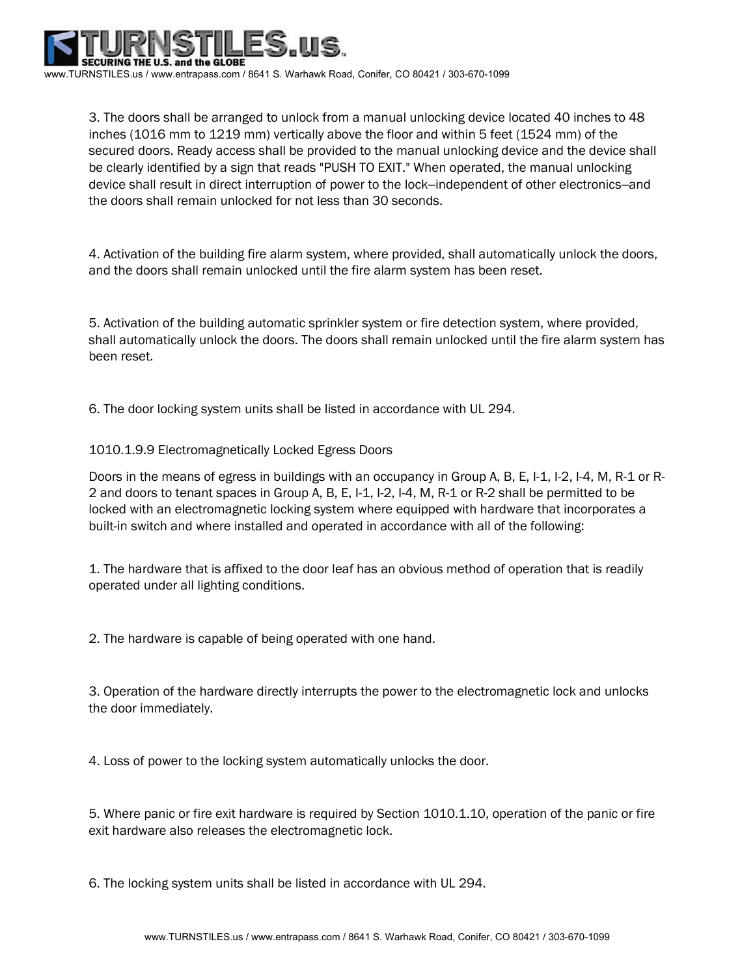

3. The doors shall be arranged to unlock from a manual unlocking device located 40 inches to 48 inches (1016 mm to 1219 mm) vertically above the floor and within 5 feet (1524 mm) of the secured doors. Ready access shall be provided to the manual unlocking device and the device shall be clearly identified by a sign that reads "PUSH TO EXIT." When operated, the manual unlocking device shall result in direct interruption of power to the lock–independent of other electronics–and the doors shall remain unlocked for not less than 30 seconds.

4. Activation of the building fire alarm system, where provided, shall automatically unlock the doors, and the doors shall remain unlocked until the fire alarm system has been reset.

5. Activation of the building automatic sprinkler system or fire detection system, where provided, shall automatically unlock the doors. The doors shall remain unlocked until the fire alarm system has been reset.

6. The door locking system units shall be listed in accordance with UL 294.

1010.1.9.9 Electromagnetically Locked Egress Doors

Doors in the means of egress in buildings with an occupancy in Group A, B, E, I-1, I-2, I-4, M, R-1 or R-2 and doors to tenant spaces in Group A, B, E, I-1, I-2, I-4, M, R-1 or R-2 shall be permitted to be locked with an electromagnetic locking system where equipped with hardware that incorporates a built-in switch and where installed and operated in accordance with all of the following:

1. The hardware that is affixed to the door leaf has an obvious method of operation that is readily operated under all lighting conditions.

2. The hardware is capable of being operated with one hand.

3. Operation of the hardware directly interrupts the power to the electromagnetic lock and unlocks the door immediately.

4. Loss of power to the locking system automatically unlocks the door.

5. Where panic or fire exit hardware is required by Section 1010.1.10, operation of the panic or fire exit hardware also releases the electromagnetic lock.

6. The locking system units shall be listed in accordance with UL 294.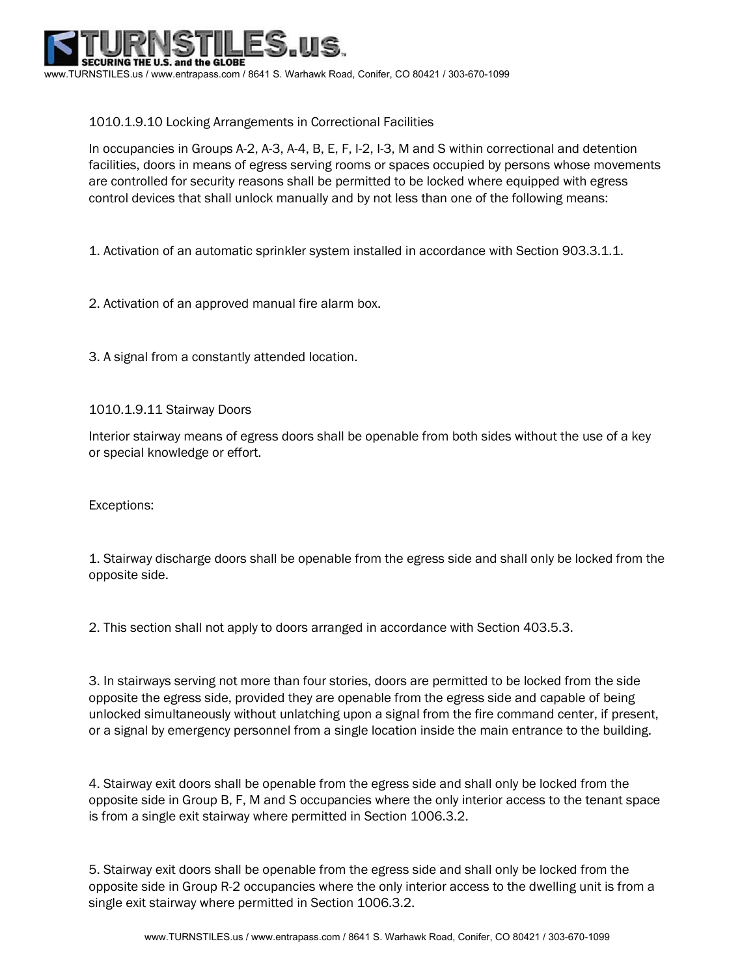

## 1010.1.9.10 Locking Arrangements in Correctional Facilities

In occupancies in Groups A-2, A-3, A-4, B, E, F, I-2, I-3, M and S within correctional and detention facilities, doors in means of egress serving rooms or spaces occupied by persons whose movements are controlled for security reasons shall be permitted to be locked where equipped with egress control devices that shall unlock manually and by not less than one of the following means:

1. Activation of an automatic sprinkler system installed in accordance with Section 903.3.1.1.

2. Activation of an approved manual fire alarm box.

3. A signal from a constantly attended location.

1010.1.9.11 Stairway Doors

Interior stairway means of egress doors shall be openable from both sides without the use of a key or special knowledge or effort.

Exceptions:

1. Stairway discharge doors shall be openable from the egress side and shall only be locked from the opposite side.

2. This section shall not apply to doors arranged in accordance with Section 403.5.3.

3. In stairways serving not more than four stories, doors are permitted to be locked from the side opposite the egress side, provided they are openable from the egress side and capable of being unlocked simultaneously without unlatching upon a signal from the fire command center, if present, or a signal by emergency personnel from a single location inside the main entrance to the building.

4. Stairway exit doors shall be openable from the egress side and shall only be locked from the opposite side in Group B, F, M and S occupancies where the only interior access to the tenant space is from a single exit stairway where permitted in Section 1006.3.2.

5. Stairway exit doors shall be openable from the egress side and shall only be locked from the opposite side in Group R-2 occupancies where the only interior access to the dwelling unit is from a single exit stairway where permitted in Section 1006.3.2.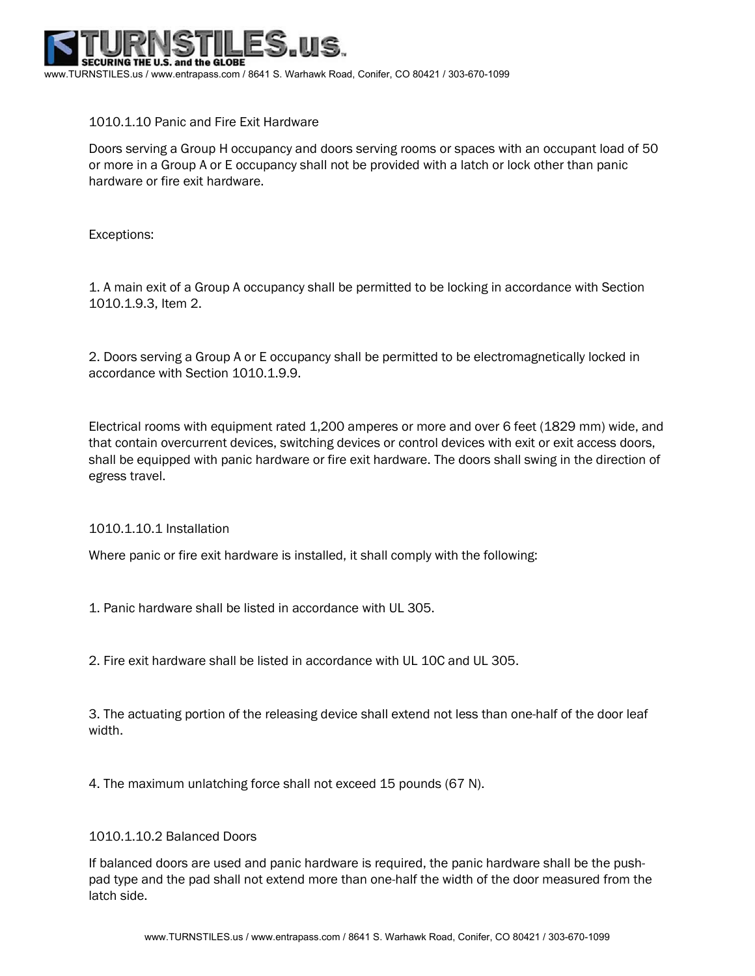

## 1010.1.10 Panic and Fire Exit Hardware

Doors serving a Group H occupancy and doors serving rooms or spaces with an occupant load of 50 or more in a Group A or E occupancy shall not be provided with a latch or lock other than panic hardware or fire exit hardware.

Exceptions:

1. A main exit of a Group A occupancy shall be permitted to be locking in accordance with Section 1010.1.9.3, Item 2.

2. Doors serving a Group A or E occupancy shall be permitted to be electromagnetically locked in accordance with Section 1010.1.9.9.

Electrical rooms with equipment rated 1,200 amperes or more and over 6 feet (1829 mm) wide, and that contain overcurrent devices, switching devices or control devices with exit or exit access doors, shall be equipped with panic hardware or fire exit hardware. The doors shall swing in the direction of egress travel.

## 1010.1.10.1 Installation

Where panic or fire exit hardware is installed, it shall comply with the following:

1. Panic hardware shall be listed in accordance with UL 305.

2. Fire exit hardware shall be listed in accordance with UL 10C and UL 305.

3. The actuating portion of the releasing device shall extend not less than one-half of the door leaf width.

4. The maximum unlatching force shall not exceed 15 pounds (67 N).

#### 1010.1.10.2 Balanced Doors

If balanced doors are used and panic hardware is required, the panic hardware shall be the pushpad type and the pad shall not extend more than one-half the width of the door measured from the latch side.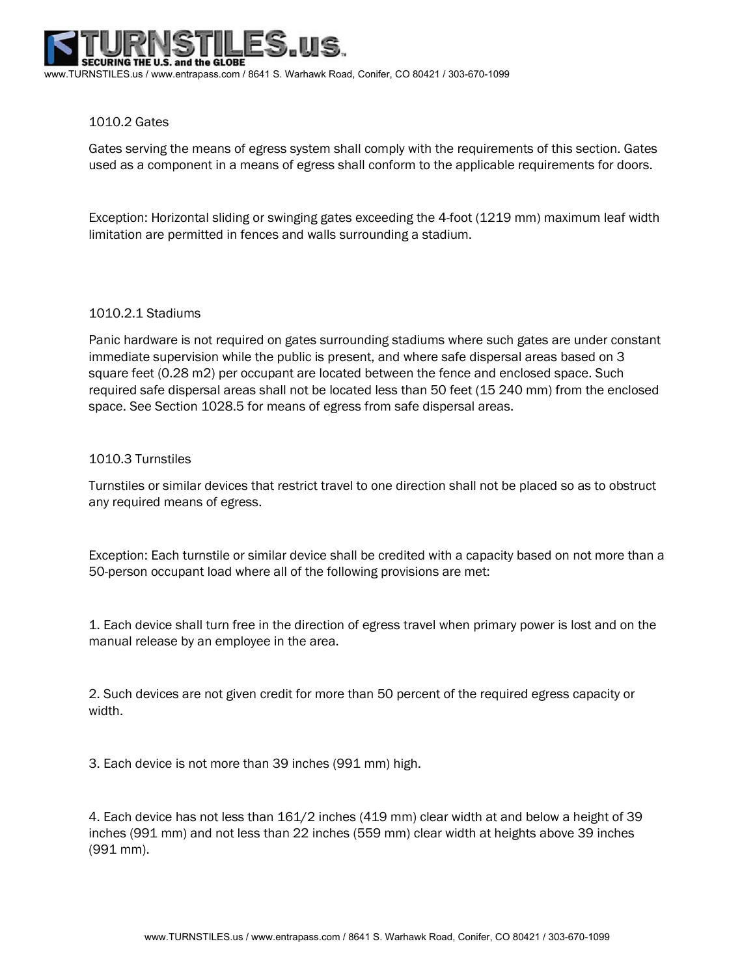#### 1010.2 Gates

Gates serving the means of egress system shall comply with the requirements of this section. Gates used as a component in a means of egress shall conform to the applicable requirements for doors.

Exception: Horizontal sliding or swinging gates exceeding the 4-foot (1219 mm) maximum leaf width limitation are permitted in fences and walls surrounding a stadium.

#### 1010.2.1 Stadiums

Panic hardware is not required on gates surrounding stadiums where such gates are under constant immediate supervision while the public is present, and where safe dispersal areas based on 3 square feet (0.28 m2) per occupant are located between the fence and enclosed space. Such required safe dispersal areas shall not be located less than 50 feet (15 240 mm) from the enclosed space. See Section 1028.5 for means of egress from safe dispersal areas.

#### 1010.3 Turnstiles

Turnstiles or similar devices that restrict travel to one direction shall not be placed so as to obstruct any required means of egress.

Exception: Each turnstile or similar device shall be credited with a capacity based on not more than a 50-person occupant load where all of the following provisions are met:

1. Each device shall turn free in the direction of egress travel when primary power is lost and on the manual release by an employee in the area.

2. Such devices are not given credit for more than 50 percent of the required egress capacity or width.

3. Each device is not more than 39 inches (991 mm) high.

4. Each device has not less than 161/2 inches (419 mm) clear width at and below a height of 39 inches (991 mm) and not less than 22 inches (559 mm) clear width at heights above 39 inches (991 mm).